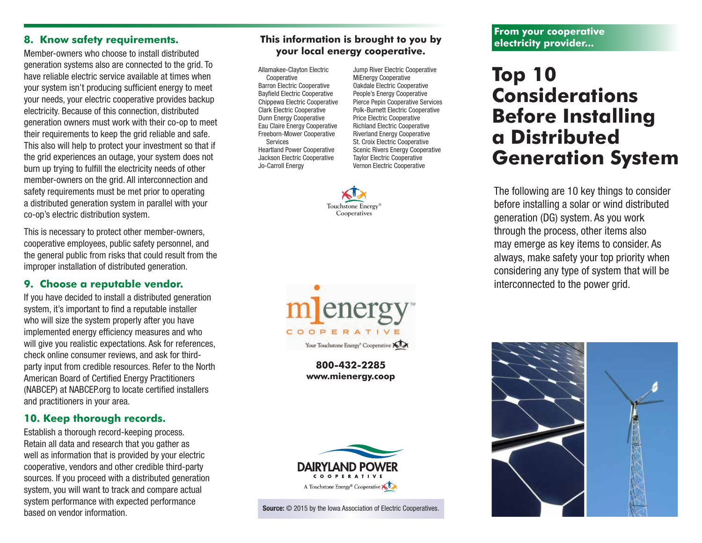#### **8. Know safety requirements.**

Member-owners who choose to install distributed generation systems also are connected to the grid. To have reliable electric service available at times when your system isn't producing sufficient energy to meet your needs, your electric cooperative provides backup electricity. Because of this connection, distributed generation owners must work with their co-op to meet their requirements to keep the grid reliable and safe. This also will help to protect your investment so that if the grid experiences an outage, your system does not burn up trying to fulfill the electricity needs of other member-owners on the grid. All interconnection and safety requirements must be met prior to operating a distributed generation system in parallel with your co-op's electric distribution system.

This is necessary to protect other member-owners, cooperative employees, public safety personnel, and the general public from risks that could result from the improper installation of distributed generation.

# **9. Choose a reputable vendor.**

If you have decided to install a distributed generation system, it's important to find a reputable installer who will size the system properly after you have implemented energy efficiency measures and who will give you realistic expectations. Ask for references, check online consumer reviews, and ask for thirdparty input from credible resources. Refer to the North American Board of Certified Energy Practitioners (NABCEP) at NABCEP.org to locate certified installers and practitioners in your area.

# **10. Keep thorough records.**

Establish a thorough record-keeping process. Retain all data and research that you gather as well as information that is provided by your electric cooperative, vendors and other credible third-party sources. If you proceed with a distributed generation system, you will want to track and compare actual system performance with expected performance based on vendor information.

## **This information is brought to you by your local energy cooperative.**

Allamakee-Clayton Electric Cooperative Barron Electric Cooperative Bayfield Electric Cooperative Chippewa Electric Cooperative Clark Electric Cooperative Dunn Energy Cooperative Eau Claire Energy Cooperative Freeborn-Mower Cooperative Services Heartland Power Cooperative Jackson Electric Cooperative Jo-Carroll Energy

Jump River Electric Cooperative MiEnergy Cooperative Oakdale Electric Cooperative People's Energy Cooperative Pierce Pepin Cooperative Services Polk-Burnett Electric Cooperative Price Electric Cooperative Richland Electric Cooperative Riverland Energy Cooperative St. Croix Electric Cooperative Scenic Rivers Energy Cooperative Taylor Electric Cooperative Vernon Electric Cooperative





# **Top 10 Considerations Before Installing a Distributed Generation System**

The following are 10 key things to consider before installing a solar or wind distributed generation (DG) system. As you work through the process, other items also may emerge as key items to consider. As always, make safety your top priority when considering any type of system that will be interconnected to the power grid.





**800-432-2285 www.mienergy.coop**

Your Touchstone Energy<sup>®</sup> Cooperative XIX

COOPERATIVE

Source:  $\odot$  2015 by the Iowa Association of Electric Cooperatives.